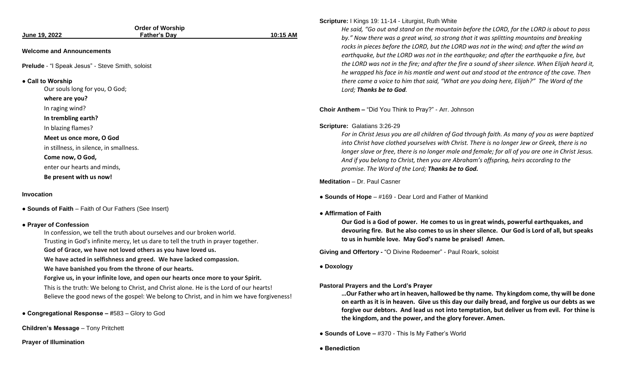| June 19, 2022                                                                                                    | <b>Order of Worship</b><br>Father's Day                                                                                                                                                                                                                                                                                                                                                                                                                                                                                                                                                                                                | 10:15 AM |
|------------------------------------------------------------------------------------------------------------------|----------------------------------------------------------------------------------------------------------------------------------------------------------------------------------------------------------------------------------------------------------------------------------------------------------------------------------------------------------------------------------------------------------------------------------------------------------------------------------------------------------------------------------------------------------------------------------------------------------------------------------------|----------|
| <b>Welcome and Announcements</b>                                                                                 |                                                                                                                                                                                                                                                                                                                                                                                                                                                                                                                                                                                                                                        |          |
| Prelude - "I Speak Jesus" - Steve Smith, soloist                                                                 |                                                                                                                                                                                                                                                                                                                                                                                                                                                                                                                                                                                                                                        |          |
| • Call to Worship<br>Our souls long for you, O God;<br>where are you?<br>In raging wind?                         |                                                                                                                                                                                                                                                                                                                                                                                                                                                                                                                                                                                                                                        | C        |
| In trembling earth?<br>In blazing flames?<br>Meet us once more, O God<br>in stillness, in silence, in smallness. |                                                                                                                                                                                                                                                                                                                                                                                                                                                                                                                                                                                                                                        | S        |
| Come now, O God,<br>enter our hearts and minds,<br>Be present with us now!                                       |                                                                                                                                                                                                                                                                                                                                                                                                                                                                                                                                                                                                                                        | N        |
| <b>Invocation</b><br>• Sounds of Faith - Faith of Our Fathers (See Insert)                                       |                                                                                                                                                                                                                                                                                                                                                                                                                                                                                                                                                                                                                                        |          |
| • Prayer of Confession                                                                                           | In confession, we tell the truth about ourselves and our broken world.<br>Trusting in God's infinite mercy, let us dare to tell the truth in prayer together.<br>God of Grace, we have not loved others as you have loved us.<br>We have acted in selfishness and greed. We have lacked compassion.<br>We have banished you from the throne of our hearts.<br>Forgive us, in your infinite love, and open our hearts once more to your Spirit.<br>This is the truth: We belong to Christ, and Christ alone. He is the Lord of our hearts!<br>Believe the good news of the gospel: We belong to Christ, and in him we have forgiveness! | G<br>Р   |
| • Congregational Response - #583 - Glory to God                                                                  |                                                                                                                                                                                                                                                                                                                                                                                                                                                                                                                                                                                                                                        |          |
| <b>Children's Message - Tony Pritchett</b>                                                                       |                                                                                                                                                                                                                                                                                                                                                                                                                                                                                                                                                                                                                                        |          |

**Prayer of Illumination**

### **Scripture:** I Kings 19: 11-14 - Liturgist, Ruth White

*He said, "Go out and stand on the mountain before the LORD, for the LORD is about to pass by." Now there was a great wind, so strong that it was splitting mountains and breaking rocks in pieces before the LORD, but the LORD was not in the wind; and after the wind an earthquake, but the LORD was not in the earthquake; and after the earthquake a fire, but the LORD was not in the fire; and after the fire a sound of sheer silence. When Elijah heard it, he wrapped his face in his mantle and went out and stood at the entrance of the cave. Then there came a voice to him that said, "What are you doing here, Elijah?" The Word of the Lord; Thanks be to God.* 

**Choir Anthem –** "Did You Think to Pray?" - Arr. Johnson

## **Scripture:** Galatians 3:26-29

*For in Christ Jesus you are all children of God through faith. As many of you as were baptized into Christ have clothed yourselves with Christ. There is no longer Jew or Greek, there is no longer slave or free, there is no longer male and female; for all of you are one in Christ Jesus. And if you belong to Christ, then you are Abraham's offspring, heirs according to the promise. The Word of the Lord; Thanks be to God.*

**Meditation** – Dr. Paul Casner

**Sounds of Hope** – #169 - Dear Lord and Father of Mankind

## **● Affirmation of Faith**

**Our God is a God of power. He comes to us in great winds, powerful earthquakes, and devouring fire. But he also comes to us in sheer silence. Our God is Lord of all, but speaks to us in humble love. May God's name be praised! Amen.**

**Giving and Offertory -** "O Divine Redeemer" - Paul Roark, soloist

**● Doxology**

# **Pastoral Prayers and the Lord's Prayer**

**…Our Father who art in heaven, hallowed be thy name. Thy kingdom come, thy will be done on earth as it is in heaven. Give us this day our daily bread, and forgive us our debts as we forgive our debtors. And lead us not into temptation, but deliver us from evil. For thine is the kingdom, and the power, and the glory forever. Amen.**

**Sounds of Love – #370 - This Is My Father's World** 

**● Benediction**